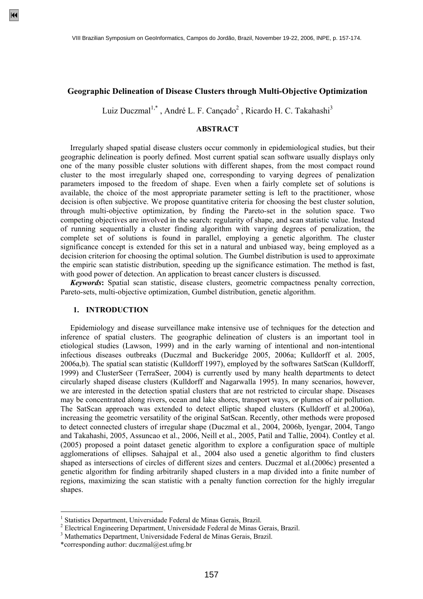## **Geographic Delineation of Disease Clusters through Multi-Objective Optimization**

Luiz Duczmal<sup>1,\*</sup>, André L. F. Cançado<sup>2</sup>, Ricardo H. C. Takahashi<sup>3</sup>

## **ABSTRACT**

 Irregularly shaped spatial disease clusters occur commonly in epidemiological studies, but their geographic delineation is poorly defined. Most current spatial scan software usually displays only one of the many possible cluster solutions with different shapes, from the most compact round cluster to the most irregularly shaped one, corresponding to varying degrees of penalization parameters imposed to the freedom of shape. Even when a fairly complete set of solutions is available, the choice of the most appropriate parameter setting is left to the practitioner, whose decision is often subjective. We propose quantitative criteria for choosing the best cluster solution, through multi-objective optimization, by finding the Pareto-set in the solution space. Two competing objectives are involved in the search: regularity of shape, and scan statistic value. Instead of running sequentially a cluster finding algorithm with varying degrees of penalization, the complete set of solutions is found in parallel, employing a genetic algorithm. The cluster significance concept is extended for this set in a natural and unbiased way, being employed as a decision criterion for choosing the optimal solution. The Gumbel distribution is used to approximate the empiric scan statistic distribution, speeding up the significance estimation. The method is fast, with good power of detection. An application to breast cancer clusters is discussed.

 *Keywords***:** Spatial scan statistic, disease clusters, geometric compactness penalty correction, Pareto-sets, multi-objective optimization, Gumbel distribution, genetic algorithm.

### **1. INTRODUCTION**

 Epidemiology and disease surveillance make intensive use of techniques for the detection and inference of spatial clusters. The geographic delineation of clusters is an important tool in etiological studies (Lawson, 1999) and in the early warning of intentional and non-intentional infectious diseases outbreaks (Duczmal and Buckeridge 2005, 2006a; Kulldorff et al. 2005, 2006a,b). The spatial scan statistic (Kulldorff 1997), employed by the softwares SatScan (Kulldorff, 1999) and ClusterSeer (TerraSeer, 2004) is currently used by many health departments to detect circularly shaped disease clusters (Kulldorff and Nagarwalla 1995). In many scenarios, however, we are interested in the detection spatial clusters that are not restricted to circular shape. Diseases may be concentrated along rivers, ocean and lake shores, transport ways, or plumes of air pollution. The SatScan approach was extended to detect elliptic shaped clusters (Kulldorff et al.2006a), increasing the geometric versatility of the original SatScan. Recently, other methods were proposed to detect connected clusters of irregular shape (Duczmal et al., 2004, 2006b, Iyengar, 2004, Tango and Takahashi, 2005, Assuncao et al., 2006, Neill et al., 2005, Patil and Tallie, 2004). Contley et al. (2005) proposed a point dataset genetic algorithm to explore a configuration space of multiple agglomerations of ellipses. Sahajpal et al., 2004 also used a genetic algorithm to find clusters shaped as intersections of circles of different sizes and centers. Duczmal et al.(2006c) presented a genetic algorithm for finding arbitrarily shaped clusters in a map divided into a finite number of regions, maximizing the scan statistic with a penalty function correction for the highly irregular shapes.

 $\overline{a}$ 

<sup>&</sup>lt;sup>1</sup> Statistics Department, Universidade Federal de Minas Gerais, Brazil.

<sup>&</sup>lt;sup>2</sup> Electrical Engineering Department, Universidade Federal de Minas Gerais, Brazil.<br><sup>3</sup> Methometics Department, Universidade Federal de Minas Gerais, Brazil.

Mathematics Department, Universidade Federal de Minas Gerais, Brazil.

<sup>\*</sup>corresponding author: duczmal@est.ufmg.br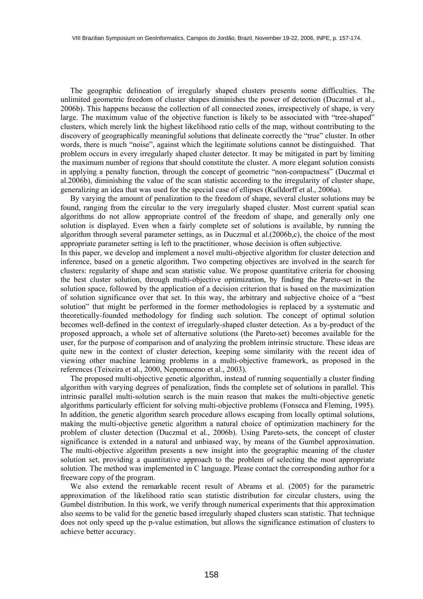The geographic delineation of irregularly shaped clusters presents some difficulties. The unlimited geometric freedom of cluster shapes diminishes the power of detection (Duczmal et al., 2006b). This happens because the collection of all connected zones, irrespectively of shape, is very large. The maximum value of the objective function is likely to be associated with "tree-shaped" clusters, which merely link the highest likelihood ratio cells of the map, without contributing to the discovery of geographically meaningful solutions that delineate correctly the "true" cluster. In other words, there is much "noise", against which the legitimate solutions cannot be distinguished. That problem occurs in every irregularly shaped cluster detector. It may be mitigated in part by limiting the maximum number of regions that should constitute the cluster. A more elegant solution consists in applying a penalty function, through the concept of geometric "non-compactness" (Duczmal et al.2006b), diminishing the value of the scan statistic according to the irregularity of cluster shape, generalizing an idea that was used for the special case of ellipses (Kulldorff et al., 2006a).

 By varying the amount of penalization to the freedom of shape, several cluster solutions may be found, ranging from the circular to the very irregularly shaped cluster. Most current spatial scan algorithms do not allow appropriate control of the freedom of shape, and generally only one solution is displayed. Even when a fairly complete set of solutions is available, by running the algorithm through several parameter settings, as in Duczmal et al.(2006b,c), the choice of the most appropriate parameter setting is left to the practitioner, whose decision is often subjective.

In this paper, we develop and implement a novel multi-objective algorithm for cluster detection and inference, based on a genetic algorithm. Two competing objectives are involved in the search for clusters: regularity of shape and scan statistic value. We propose quantitative criteria for choosing the best cluster solution, through multi-objective optimization, by finding the Pareto-set in the solution space, followed by the application of a decision criterion that is based on the maximization of solution significance over that set. In this way, the arbitrary and subjective choice of a "best solution" that might be performed in the former methodologies is replaced by a systematic and theoretically-founded methodology for finding such solution. The concept of optimal solution becomes well-defined in the context of irregularly-shaped cluster detection. As a by-product of the proposed approach, a whole set of alternative solutions (the Pareto-set) becomes available for the user, for the purpose of comparison and of analyzing the problem intrinsic structure. These ideas are quite new in the context of cluster detection, keeping some similarity with the recent idea of viewing other machine learning problems in a multi-objective framework, as proposed in the references (Teixeira et al., 2000, Nepomuceno et al., 2003).

 The proposed multi-objective genetic algorithm, instead of running sequentially a cluster finding algorithm with varying degrees of penalization, finds the complete set of solutions in parallel. This intrinsic parallel multi-solution search is the main reason that makes the multi-objective genetic algorithms particularly efficient for solving multi-objective problems (Fonseca and Fleming, 1995). In addition, the genetic algorithm search procedure allows escaping from locally optimal solutions, making the multi-objective genetic algorithm a natural choice of optimization machinery for the problem of cluster detection (Duczmal et al., 2006b). Using Pareto-sets, the concept of cluster significance is extended in a natural and unbiased way, by means of the Gumbel approximation. The multi-objective algorithm presents a new insight into the geographic meaning of the cluster solution set, providing a quantitative approach to the problem of selecting the most appropriate solution. The method was implemented in C language. Please contact the corresponding author for a freeware copy of the program.

 We also extend the remarkable recent result of Abrams et al. (2005) for the parametric approximation of the likelihood ratio scan statistic distribution for circular clusters, using the Gumbel distribution. In this work, we verify through numerical experiments that this approximation also seems to be valid for the genetic based irregularly shaped clusters scan statistic. That technique does not only speed up the p-value estimation, but allows the significance estimation of clusters to achieve better accuracy.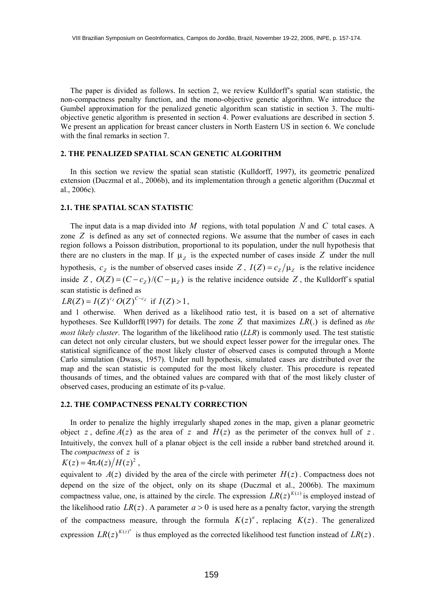The paper is divided as follows. In section 2, we review Kulldorff's spatial scan statistic, the non-compactness penalty function, and the mono-objective genetic algorithm. We introduce the Gumbel approximation for the penalized genetic algorithm scan statistic in section 3. The multiobjective genetic algorithm is presented in section 4. Power evaluations are described in section 5. We present an application for breast cancer clusters in North Eastern US in section 6. We conclude with the final remarks in section 7.

#### **2. THE PENALIZED SPATIAL SCAN GENETIC ALGORITHM**

 In this section we review the spatial scan statistic (Kulldorff, 1997), its geometric penalized extension (Duczmal et al., 2006b), and its implementation through a genetic algorithm (Duczmal et al., 2006c).

## **2.1. THE SPATIAL SCAN STATISTIC**

The input data is a map divided into  $M$  regions, with total population  $N$  and  $C$  total cases. A zone  $Z$  is defined as any set of connected regions. We assume that the number of cases in each region follows a Poisson distribution, proportional to its population, under the null hypothesis that there are no clusters in the map. If  $\mu_Z$  is the expected number of cases inside Z under the null hypothesis,  $c_z$  is the number of observed cases inside Z,  $I(Z) = c_z / \mu_z$  is the relative incidence inside Z,  $O(Z) = (C - c<sub>Z</sub>)/(C - \mu<sub>Z</sub>)$  is the relative incidence outside Z, the Kulldorff's spatial scan statistic is defined as

 $LR(Z) = I(Z)^{c_z} O(Z)^{C-c_z}$  if  $I(Z) > 1$ ,

and 1 otherwise. When derived as a likelihood ratio test, it is based on a set of alternative hypotheses. See Kulldorff(1997) for details. The zone Z that maximizes  $LR(.)$  is defined as *the most likely cluster*. The logarithm of the likelihood ratio (*LLR*) is commonly used. The test statistic can detect not only circular clusters, but we should expect lesser power for the irregular ones. The statistical significance of the most likely cluster of observed cases is computed through a Monte Carlo simulation (Dwass, 1957). Under null hypothesis, simulated cases are distributed over the map and the scan statistic is computed for the most likely cluster. This procedure is repeated thousands of times, and the obtained values are compared with that of the most likely cluster of observed cases, producing an estimate of its p-value.

## **2.2. THE COMPACTNESS PENALTY CORRECTION**

 In order to penalize the highly irregularly shaped zones in the map, given a planar geometric object z, define  $A(z)$  as the area of z and  $H(z)$  as the perimeter of the convex hull of z. Intuitively, the convex hull of a planar object is the cell inside a rubber band stretched around it. The *compactness* of z is

$$
K(z) = 4\pi A(z)/H(z)^2,
$$

equivalent to  $A(z)$  divided by the area of the circle with perimeter  $H(z)$ . Compactness does not depend on the size of the object, only on its shape (Duczmal et al., 2006b). The maximum compactness value, one, is attained by the circle. The expression  $LR(z)^{K(z)}$  is employed instead of the likelihood ratio  $LR(z)$ . A parameter  $a > 0$  is used here as a penalty factor, varying the strength of the compactness measure, through the formula  $K(z)^a$ , replacing  $K(z)$ . The generalized expression  $LR(z)^{K(z)^a}$  is thus employed as the corrected likelihood test function instead of  $LR(z)$ .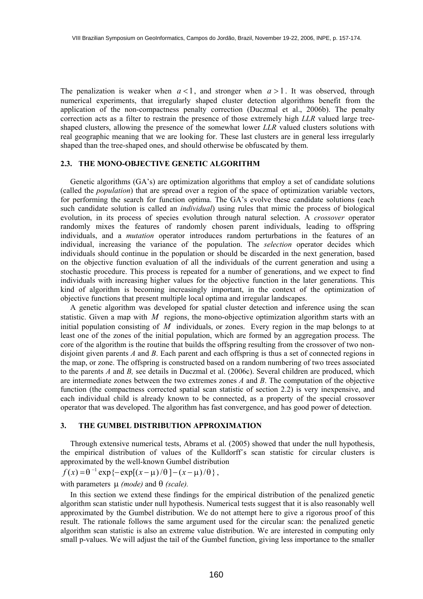The penalization is weaker when  $a < 1$ , and stronger when  $a > 1$ . It was observed, through numerical experiments, that irregularly shaped cluster detection algorithms benefit from the application of the non-compactness penalty correction (Duczmal et al., 2006b). The penalty correction acts as a filter to restrain the presence of those extremely high *LLR* valued large treeshaped clusters, allowing the presence of the somewhat lower *LLR* valued clusters solutions with real geographic meaning that we are looking for. These last clusters are in general less irregularly shaped than the tree-shaped ones, and should otherwise be obfuscated by them.

#### **2.3. THE MONO-OBJECTIVE GENETIC ALGORITHM**

 Genetic algorithms (GA's) are optimization algorithms that employ a set of candidate solutions (called the *population*) that are spread over a region of the space of optimization variable vectors, for performing the search for function optima. The GA's evolve these candidate solutions (each such candidate solution is called an *individual*) using rules that mimic the process of biological evolution, in its process of species evolution through natural selection. A *crossover* operator randomly mixes the features of randomly chosen parent individuals, leading to offspring individuals, and a *mutation* operator introduces random perturbations in the features of an individual, increasing the variance of the population. The *selection* operator decides which individuals should continue in the population or should be discarded in the next generation, based on the objective function evaluation of all the individuals of the current generation and using a stochastic procedure. This process is repeated for a number of generations, and we expect to find individuals with increasing higher values for the objective function in the later generations. This kind of algorithm is becoming increasingly important, in the context of the optimization of objective functions that present multiple local optima and irregular landscapes.

 A genetic algorithm was developed for spatial cluster detection and inference using the scan statistic. Given a map with  $M$  regions, the mono-objective optimization algorithm starts with an initial population consisting of *M* individuals, or zones. Every region in the map belongs to at least one of the zones of the initial population, which are formed by an aggregation process. The core of the algorithm is the routine that builds the offspring resulting from the crossover of two nondisjoint given parents *A* and *B*. Each parent and each offspring is thus a set of connected regions in the map, or zone. The offspring is constructed based on a random numbering of two trees associated to the parents *A* and *B,* see details in Duczmal et al. (2006c). Several children are produced, which are intermediate zones between the two extremes zones *A* and *B*. The computation of the objective function (the compactness corrected spatial scan statistic of section 2.2) is very inexpensive, and each individual child is already known to be connected, as a property of the special crossover operator that was developed. The algorithm has fast convergence, and has good power of detection.

#### **3. THE GUMBEL DISTRIBUTION APPROXIMATION**

 Through extensive numerical tests, Abrams et al. (2005) showed that under the null hypothesis, the empirical distribution of values of the Kulldorff´s scan statistic for circular clusters is approximated by the well-known Gumbel distribution

 $f(x) = \theta^{-1} \exp \{-\exp[(x-\mu)/\theta] - (x-\mu)/\theta \},$ 

## with parameters µ *(mode)* and θ *(scale).*

 In this section we extend these findings for the empirical distribution of the penalized genetic algorithm scan statistic under null hypothesis. Numerical tests suggest that it is also reasonably well approximated by the Gumbel distribution. We do not attempt here to give a rigorous proof of this result. The rationale follows the same argument used for the circular scan: the penalized genetic algorithm scan statistic is also an extreme value distribution. We are interested in computing only small p-values. We will adjust the tail of the Gumbel function, giving less importance to the smaller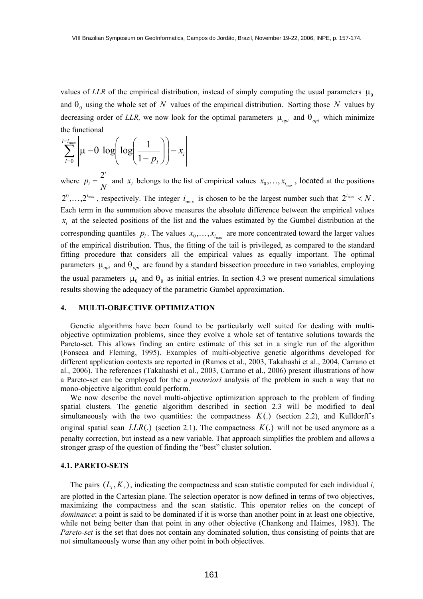values of *LLR* of the empirical distribution, instead of simply computing the usual parameters  $\mu_0$ and  $\theta_0$  using the whole set of N values of the empirical distribution. Sorting those N values by decreasing order of *LLR*, we now look for the optimal parameters  $\mu_{opt}$  and  $\theta_{opt}$  which minimize the functional

$$
\sum_{i=0}^{i=i_{\text{max}}} \left| \mu - \theta \log \left( \log \left( \frac{1}{1-p_i} \right) \right) - x_i \right|
$$

where  $p_i = \frac{2}{N}$ *i*  $x_i = \frac{2^i}{N}$  and  $x_i$  belongs to the list of empirical values  $x_0, \ldots, x_{i_{\text{max}}}$ , located at the positions  $2^0,...,2^{i_{\text{max}}}$ , respectively. The integer  $i_{\text{max}}$  is chosen to be the largest number such that  $2^{i_{\text{max}}} < N$ . parameters  $\mu_{opt}$  and  $\theta_{opt}$  are found by a standard bissection procedure in two variables, employing Each term in the summation above measures the absolute difference between the empirical values  $x_i$  at the selected positions of the list and the values estimated by the Gumbel distribution at the corresponding quantiles  $p_i$ . The values  $x_0, \ldots, x_{i_{max}}$  are more concentrated toward the larger values of the empirical distribution. Thus, the fitting of the tail is privileged, as compared to the standard fitting procedure that considers all the empirical values as equally important. The optimal the usual parameters  $\mu_0$  and  $\theta_0$  as initial entries. In section 4.3 we present numerical simulations results showing the adequacy of the parametric Gumbel approximation.

## **4. MULTI-OBJECTIVE OPTIMIZATION**

 Genetic algorithms have been found to be particularly well suited for dealing with multiobjective optimization problems, since they evolve a whole set of tentative solutions towards the Pareto-set. This allows finding an entire estimate of this set in a single run of the algorithm (Fonseca and Fleming, 1995). Examples of multi-objective genetic algorithms developed for different application contexts are reported in (Ramos et al., 2003, Takahashi et al., 2004, Carrano et al., 2006). The references (Takahashi et al., 2003, Carrano et al., 2006) present illustrations of how a Pareto-set can be employed for the *a posteriori* analysis of the problem in such a way that no mono-objective algorithm could perform.

 We now describe the novel multi-objective optimization approach to the problem of finding spatial clusters. The genetic algorithm described in section 2.3 will be modified to deal simultaneously with the two quantities: the compactness  $K(.)$  (section 2.2), and Kulldorff's original spatial scan  $LLR(.)$  (section 2.1). The compactness  $K(.)$  will not be used anymore as a penalty correction, but instead as a new variable. That approach simplifies the problem and allows a stronger grasp of the question of finding the "best" cluster solution.

#### **4.1. PARETO-SETS**

The pairs  $(L_i, K_i)$ , indicating the compactness and scan statistic computed for each individual *i*, are plotted in the Cartesian plane. The selection operator is now defined in terms of two objectives, maximizing the compactness and the scan statistic. This operator relies on the concept of *dominance*: a point is said to be dominated if it is worse than another point in at least one objective, while not being better than that point in any other objective (Chankong and Haimes, 1983). The *Pareto-set* is the set that does not contain any dominated solution, thus consisting of points that are not simultaneously worse than any other point in both objectives.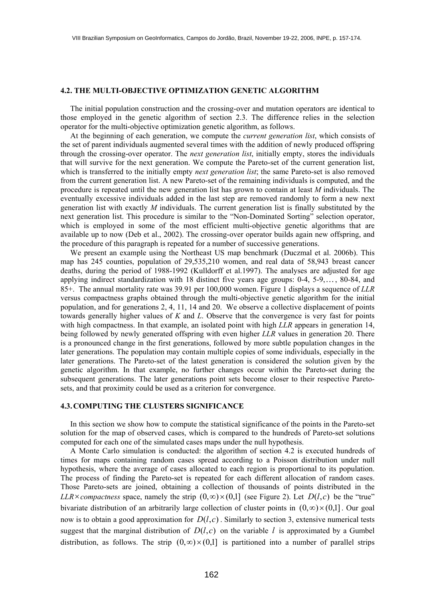## **4.2. THE MULTI-OBJECTIVE OPTIMIZATION GENETIC ALGORITHM**

 The initial population construction and the crossing-over and mutation operators are identical to those employed in the genetic algorithm of section 2.3. The difference relies in the selection operator for the multi-objective optimization genetic algorithm, as follows.

 At the beginning of each generation, we compute the *current generation list*, which consists of the set of parent individuals augmented several times with the addition of newly produced offspring through the crossing-over operator. The *next generation list*, initially empty, stores the individuals that will survive for the next generation. We compute the Pareto-set of the current generation list, which is transferred to the initially empty *next generation list*; the same Pareto-set is also removed from the current generation list. A new Pareto-set of the remaining individuals is computed, and the procedure is repeated until the new generation list has grown to contain at least *M* individuals. The eventually excessive individuals added in the last step are removed randomly to form a new next generation list with exactly *M* individuals. The current generation list is finally substituted by the next generation list. This procedure is similar to the "Non-Dominated Sorting" selection operator, which is employed in some of the most efficient multi-objective genetic algorithms that are available up to now (Deb et al., 2002). The crossing-over operator builds again new offspring, and the procedure of this paragraph is repeated for a number of successive generations.

 We present an example using the Northeast US map benchmark (Duczmal et al. 2006b). This map has 245 counties, population of 29,535,210 women, and real data of 58,943 breast cancer deaths, during the period of 1988-1992 (Kulldorff et al.1997). The analyses are adjusted for age applying indirect standardization with 18 distinct five years age groups:  $0-4$ ,  $5-9$ ,..., 80-84, and 85+. The annual mortality rate was 39.91 per 100,000 women. Figure 1 displays a sequence of *LLR* versus compactness graphs obtained through the multi-objective genetic algorithm for the initial population, and for generations 2, 4, 11, 14 and 20. We observe a collective displacement of points towards generally higher values of *K* and *L*. Observe that the convergence is very fast for points with high compactness. In that example, an isolated point with high *LLR* appears in generation 14, being followed by newly generated offspring with even higher *LLR* values in generation 20. There is a pronounced change in the first generations, followed by more subtle population changes in the later generations. The population may contain multiple copies of some individuals, especially in the later generations. The Pareto-set of the latest generation is considered the solution given by the genetic algorithm. In that example, no further changes occur within the Pareto-set during the subsequent generations. The later generations point sets become closer to their respective Paretosets, and that proximity could be used as a criterion for convergence.

#### **4.3. COMPUTING THE CLUSTERS SIGNIFICANCE**

 In this section we show how to compute the statistical significance of the points in the Pareto-set solution for the map of observed cases, which is compared to the hundreds of Pareto-set solutions computed for each one of the simulated cases maps under the null hypothesis.

 A Monte Carlo simulation is conducted: the algorithm of section 4.2 is executed hundreds of times for maps containing random cases spread according to a Poisson distribution under null hypothesis, where the average of cases allocated to each region is proportional to its population. The process of finding the Pareto-set is repeated for each different allocation of random cases. Those Pareto-sets are joined, obtaining a collection of thousands of points distributed in the  $LLR \times \textit{compactness}$  space, namely the strip  $(0, \infty) \times (0,1]$  (see Figure 2). Let  $D(l, c)$  be the "true" bivariate distribution of an arbitrarily large collection of cluster points in  $(0, \infty) \times (0, 1]$ . Our goal now is to obtain a good approximation for  $D(l, c)$ . Similarly to section 3, extensive numerical tests suggest that the marginal distribution of  $D(l, c)$  on the variable *l* is approximated by a Gumbel distribution, as follows. The strip  $(0, \infty) \times (0, 1]$  is partitioned into a number of parallel strips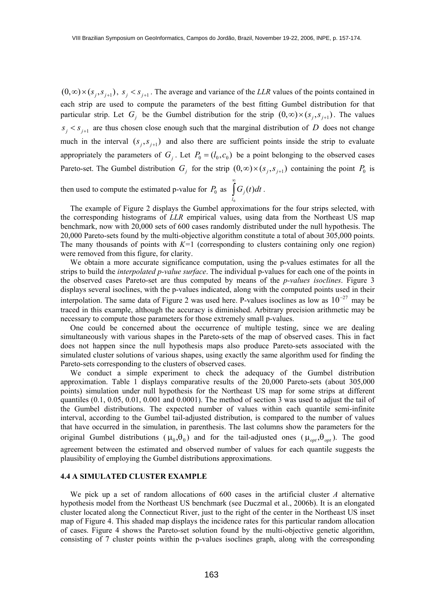$(0, \infty) \times (s_j, s_{j+1})$ ,  $s_j < s_{j+1}$ . The average and variance of the *LLR* values of the points contained in  $s_j < s_{j+1}$  are thus chosen close enough such that the marginal distribution of D does not change each strip are used to compute the parameters of the best fitting Gumbel distribution for that particular strip. Let  $G_j$  be the Gumbel distribution for the strip  $(0, \infty) \times (s_j, s_{j+1})$ . The values much in the interval  $(s_j, s_{j+1})$  and also there are sufficient points inside the strip to evaluate appropriately the parameters of  $G_j$ . Let  $P_0 = (l_0, c_0)$  be a point belonging to the observed cases Pareto-set. The Gumbel distribution  $G_j$  for the strip  $(0, \infty) \times (s_j, s_{j+1})$  containing the point  $P_0$  is

then used to compute the estimated p-value for  $P_0$  as  $\int G_j(t)dt$ . ∞  $l<sub>0</sub>$  $G_i(t)dt$ 

 The example of Figure 2 displays the Gumbel approximations for the four strips selected, with the corresponding histograms of *LLR* empirical values, using data from the Northeast US map benchmark, now with 20,000 sets of 600 cases randomly distributed under the null hypothesis. The 20,000 Pareto-sets found by the multi-objective algorithm constitute a total of about 305,000 points. The many thousands of points with *K=*1 (corresponding to clusters containing only one region) were removed from this figure, for clarity.

 We obtain a more accurate significance computation, using the p-values estimates for all the strips to build the *interpolated p-value surface*. The individual p-values for each one of the points in the observed cases Pareto-set are thus computed by means of the *p-values isoclines*. Figure 3 displays several isoclines, with the p-values indicated, along with the computed points used in their interpolation. The same data of Figure 2 was used here. P-values isoclines as low as  $10^{-27}$  may be traced in this example, although the accuracy is diminished. Arbitrary precision arithmetic may be necessary to compute those parameters for those extremely small p-values.

 One could be concerned about the occurrence of multiple testing, since we are dealing simultaneously with various shapes in the Pareto-sets of the map of observed cases. This in fact does not happen since the null hypothesis maps also produce Pareto-sets associated with the simulated cluster solutions of various shapes, using exactly the same algorithm used for finding the Pareto-sets corresponding to the clusters of observed cases.

original Gumbel distributions ( $\mu_0$ , $\theta_0$ ) and for the tail-adjusted ones ( $\mu_{opt}$ , $\theta_{opt}$ ). The good We conduct a simple experiment to check the adequacy of the Gumbel distribution approximation. Table 1 displays comparative results of the 20,000 Pareto-sets (about 305,000 points) simulation under null hypothesis for the Northeast US map for some strips at different quantiles (0.1, 0.05, 0.01, 0.001 and 0.0001). The method of section 3 was used to adjust the tail of the Gumbel distributions. The expected number of values within each quantile semi-infinite interval, according to the Gumbel tail-adjusted distribution, is compared to the number of values that have occurred in the simulation, in parenthesis. The last columns show the parameters for the agreement between the estimated and observed number of values for each quantile suggests the plausibility of employing the Gumbel distributions approximations.

#### **4.4 A SIMULATED CLUSTER EXAMPLE**

 We pick up a set of random allocations of 600 cases in the artificial cluster *A* alternative hypothesis model from the Northeast US benchmark (see Duczmal et al., 2006b). It is an elongated cluster located along the Connecticut River, just to the right of the center in the Northeast US inset map of Figure 4. This shaded map displays the incidence rates for this particular random allocation of cases. Figure 4 shows the Pareto-set solution found by the multi-objective genetic algorithm, consisting of 7 cluster points within the p-values isoclines graph, along with the corresponding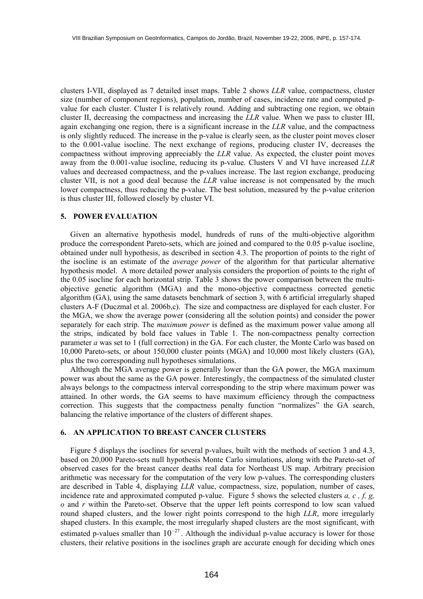clusters I-VII, displayed as 7 detailed inset maps. Table 2 shows *LLR* value, compactness, cluster size (number of component regions), population, number of cases, incidence rate and computed pvalue for each cluster. Cluster I is relatively round. Adding and subtracting one region, we obtain cluster II, decreasing the compactness and increasing the *LLR* value. When we pass to cluster III, again exchanging one region, there is a significant increase in the *LLR* value, and the compactness is only slightly reduced. The increase in the p-value is clearly seen, as the cluster point moves closer to the 0.001-value isocline. The next exchange of regions, producing cluster IV, decreases the compactness without improving appreciably the *LLR* value. As expected, the cluster point moves away from the 0.001-value isocline, reducing its p-value. Clusters V and VI have increased *LLR* values and decreased compactness, and the p-values increase. The last region exchange, producing cluster VII, is not a good deal because the *LLR* value increase is not compensated by the much lower compactness, thus reducing the p-value. The best solution, measured by the p-value criterion is thus cluster III, followed closely by cluster VI.

#### **5. POWER EVALUATION**

 Given an alternative hypothesis model, hundreds of runs of the multi-objective algorithm produce the correspondent Pareto-sets, which are joined and compared to the 0.05 p-value isocline, obtained under null hypothesis, as described in section 4.3. The proportion of points to the right of the isocline is an estimate of the *average power* of the algorithm for that particular alternative hypothesis model. A more detailed power analysis considers the proportion of points to the right of the 0.05 isocline for each horizontal strip. Table 3 shows the power comparison between the multiobjective genetic algorithm (MGA) and the mono-objective compactness corrected genetic algorithm (GA), using the same datasets benchmark of section 3, with 6 artificial irregularly shaped clusters A-F (Duczmal et al. 2006b,c). The size and compactness are displayed for each cluster. For the MGA, we show the average power (considering all the solution points) and consider the power separately for each strip. The *maximum power* is defined as the maximum power value among all the strips, indicated by bold face values in Table 1. The non-compactness penalty correction parameter *a* was set to 1 (full correction) in the GA. For each cluster, the Monte Carlo was based on 10,000 Pareto-sets, or about 150,000 cluster points (MGA) and 10,000 most likely clusters (GA), plus the two corresponding null hypotheses simulations.

 Although the MGA average power is generally lower than the GA power, the MGA maximum power was about the same as the GA power. Interestingly, the compactness of the simulated cluster always belongs to the compactness interval corresponding to the strip where maximum power was attained. In other words, the GA seems to have maximum efficiency through the compactness correction. This suggests that the compactness penalty function "normalizes" the GA search, balancing the relative importance of the clusters of different shapes.

## **6. AN APPLICATION TO BREAST CANCER CLUSTERS**

 Figure 5 displays the isoclines for several p-values, built with the methods of section 3 and 4.3, based on 20,000 Pareto-sets null hypothesis Monte Carlo simulations, along with the Pareto-set of observed cases for the breast cancer deaths real data for Northeast US map. Arbitrary precision arithmetic was necessary for the computation of the very low p-values. The corresponding clusters are described in Table 4, displaying *LLR* value, compactness, size, population, number of cases, incidence rate and approximated computed p-value. Figure 5 shows the selected clusters *a, c , f, g, o* and *r* within the Pareto-set. Observe that the upper left points correspond to low scan valued round shaped clusters, and the lower right points correspond to the high *LLR*, more irregularly shaped clusters. In this example, the most irregularly shaped clusters are the most significant, with estimated p-values smaller than  $10^{-27}$ . Although the individual p-value accuracy is lower for those clusters, their relative positions in the isoclines graph are accurate enough for deciding which ones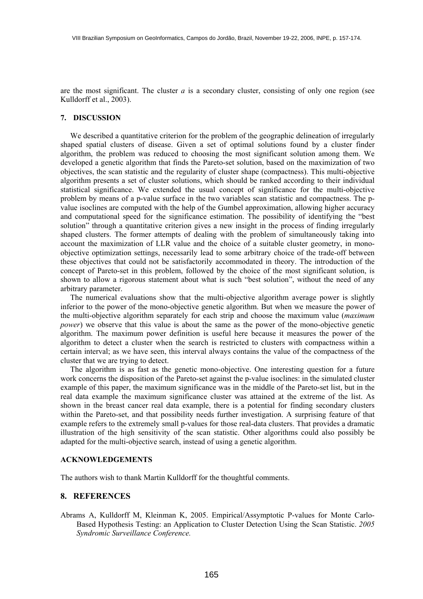are the most significant. The cluster *a* is a secondary cluster, consisting of only one region (see Kulldorff et al., 2003).

#### **7. DISCUSSION**

 We described a quantitative criterion for the problem of the geographic delineation of irregularly shaped spatial clusters of disease. Given a set of optimal solutions found by a cluster finder algorithm, the problem was reduced to choosing the most significant solution among them. We developed a genetic algorithm that finds the Pareto-set solution, based on the maximization of two objectives, the scan statistic and the regularity of cluster shape (compactness). This multi-objective algorithm presents a set of cluster solutions, which should be ranked according to their individual statistical significance. We extended the usual concept of significance for the multi-objective problem by means of a p-value surface in the two variables scan statistic and compactness. The pvalue isoclines are computed with the help of the Gumbel approximation, allowing higher accuracy and computational speed for the significance estimation. The possibility of identifying the "best solution" through a quantitative criterion gives a new insight in the process of finding irregularly shaped clusters. The former attempts of dealing with the problem of simultaneously taking into account the maximization of LLR value and the choice of a suitable cluster geometry, in monoobjective optimization settings, necessarily lead to some arbitrary choice of the trade-off between these objectives that could not be satisfactorily accommodated in theory. The introduction of the concept of Pareto-set in this problem, followed by the choice of the most significant solution, is shown to allow a rigorous statement about what is such "best solution", without the need of any arbitrary parameter.

 The numerical evaluations show that the multi-objective algorithm average power is slightly inferior to the power of the mono-objective genetic algorithm. But when we measure the power of the multi-objective algorithm separately for each strip and choose the maximum value (*maximum power*) we observe that this value is about the same as the power of the mono-objective genetic algorithm. The maximum power definition is useful here because it measures the power of the algorithm to detect a cluster when the search is restricted to clusters with compactness within a certain interval; as we have seen, this interval always contains the value of the compactness of the cluster that we are trying to detect.

 The algorithm is as fast as the genetic mono-objective. One interesting question for a future work concerns the disposition of the Pareto-set against the p-value isoclines: in the simulated cluster example of this paper, the maximum significance was in the middle of the Pareto-set list, but in the real data example the maximum significance cluster was attained at the extreme of the list. As shown in the breast cancer real data example, there is a potential for finding secondary clusters within the Pareto-set, and that possibility needs further investigation. A surprising feature of that example refers to the extremely small p-values for those real-data clusters. That provides a dramatic illustration of the high sensitivity of the scan statistic. Other algorithms could also possibly be adapted for the multi-objective search, instead of using a genetic algorithm.

#### **ACKNOWLEDGEMENTS**

The authors wish to thank Martin Kulldorff for the thoughtful comments.

## **8. REFERENCES**

Abrams A, Kulldorff M, Kleinman K, 2005. Empirical/Assymptotic P-values for Monte Carlo-Based Hypothesis Testing: an Application to Cluster Detection Using the Scan Statistic. *2005 Syndromic Surveillance Conference.*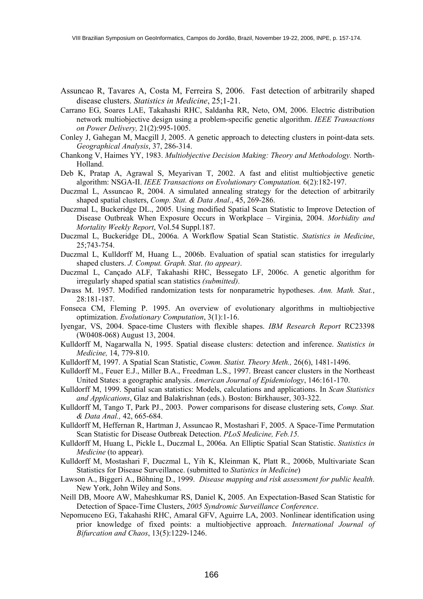- Assuncao R, Tavares A, Costa M, Ferreira S, 2006. Fast detection of arbitrarily shaped disease clusters. *Statistics in Medicine*, 25;1-21.
- Carrano EG, Soares LAE, Takahashi RHC, Saldanha RR, Neto, OM, 2006. Electric distribution network multiobjective design using a problem-specific genetic algorithm. *IEEE Transactions on Power Delivery,* 21(2):995-1005.
- Conley J, Gahegan M, Macgill J, 2005. A genetic approach to detecting clusters in point-data sets. *Geographical Analysis*, 37, 286-314.
- Chankong V, Haimes YY, 1983. *Multiobjective Decision Making: Theory and Methodology.* North-Holland.
- Deb K, Pratap A, Agrawal S, Meyarivan T, 2002. A fast and elitist multiobjective genetic algorithm: NSGA-II. *IEEE Transactions on Evolutionary Computation.* 6(2):182-197.
- Duczmal L, Assuncao R, 2004. A simulated annealing strategy for the detection of arbitrarily shaped spatial clusters, *Comp. Stat. & Data Anal*., 45, 269-286.
- Duczmal L, Buckeridge DL., 2005. Using modified Spatial Scan Statistic to Improve Detection of Disease Outbreak When Exposure Occurs in Workplace – Virginia, 2004. *Morbidity and Mortality Weekly Report*, Vol.54 Suppl.187.
- Duczmal L, Buckeridge DL, 2006a. A Workflow Spatial Scan Statistic. *Statistics in Medicine*, 25;743-754.
- Duczmal L, Kulldorff M, Huang L., 2006b. Evaluation of spatial scan statistics for irregularly shaped clusters. *J. Comput. Graph. Stat*. *(to appear)*.
- Duczmal L, Cançado ALF, Takahashi RHC, Bessegato LF, 2006c. A genetic algorithm for irregularly shaped spatial scan statistics *(submitted)*.
- Dwass M. 1957. Modified randomization tests for nonparametric hypotheses. *Ann. Math. Stat.*, 28:181-187.
- Fonseca CM, Fleming P. 1995. An overview of evolutionary algorithms in multiobjective optimization. *Evolutionary Computation*, 3(1):1-16.
- Iyengar, VS, 2004. Space-time Clusters with flexible shapes. *IBM Research Report* RC23398 (W0408-068) August 13, 2004.
- Kulldorff M, Nagarwalla N, 1995. Spatial disease clusters: detection and inference. *Statistics in Medicine,* 14, 779-810.
- Kulldorff M, 1997. A Spatial Scan Statistic, *Comm. Statist. Theory Meth.,* 26(6), 1481-1496.
- Kulldorff M., Feuer E.J., Miller B.A., Freedman L.S., 1997. Breast cancer clusters in the Northeast United States: a geographic analysis. *American Journal of Epidemiology*, 146:161-170.
- Kulldorff M, 1999. Spatial scan statistics: Models, calculations and applications. In *Scan Statistics and Applications*, Glaz and Balakrishnan (eds.). Boston: Birkhauser, 303-322.
- Kulldorff M, Tango T, Park PJ., 2003. Power comparisons for disease clustering sets, *Comp. Stat. & Data Anal.,* 42, 665-684.
- Kulldorff M, Heffernan R, Hartman J, Assuncao R, Mostashari F, 2005. A Space-Time Permutation Scan Statistic for Disease Outbreak Detection. *PLoS Medicine, Feb.15.*
- Kulldorff M, Huang L, Pickle L, Duczmal L, 2006a. An Elliptic Spatial Scan Statistic. *Statistics in Medicine* (to appear).
- Kulldorff M, Mostashari F, Duczmal L, Yih K, Kleinman K, Platt R., 2006b, Multivariate Scan Statistics for Disease Surveillance. (submitted to *Statistics in Medicine*)
- Lawson A., Biggeri A., Böhning D., 1999. *Disease mapping and risk assessment for public health*. New York, John Wiley and Sons.
- Neill DB, Moore AW, Maheshkumar RS, Daniel K, 2005. An Expectation-Based Scan Statistic for Detection of Space-Time Clusters, *2005 Syndromic Surveillance Conference*.
- Nepomuceno EG, Takahashi RHC, Amaral GFV, Aguirre LA, 2003. Nonlinear identification using prior knowledge of fixed points: a multiobjective approach. *International Journal of Bifurcation and Chaos*, 13(5):1229-1246.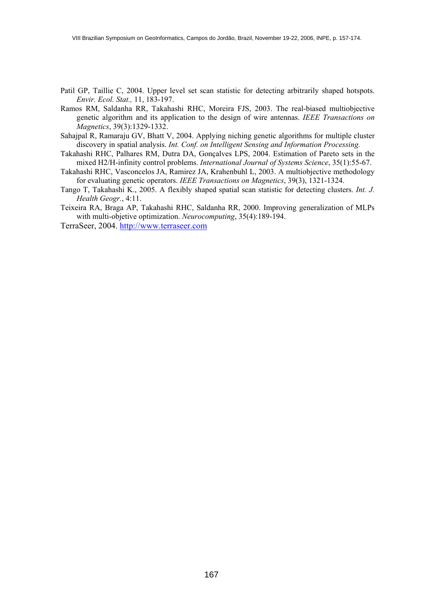- Patil GP, Taillie C, 2004. Upper level set scan statistic for detecting arbitrarily shaped hotspots. *Envir. Ecol. Stat.,* 11, 183-197.
- Ramos RM, Saldanha RR, Takahashi RHC, Moreira FJS, 2003. The real-biased multiobjective genetic algorithm and its application to the design of wire antennas. *IEEE Transactions on Magnetics*, 39(3):1329-1332.
- Sahajpal R, Ramaraju GV, Bhatt V, 2004. Applying niching genetic algorithms for multiple cluster discovery in spatial analysis. *Int. Conf. on Intelligent Sensing and Information Processing.*
- Takahashi RHC, Palhares RM, Dutra DA, Gonçalves LPS, 2004. Estimation of Pareto sets in the mixed H2/H-infinity control problems. *International Journal of Systems Science*, 35(1):55-67.
- Takahashi RHC, Vasconcelos JA, Ramirez JA, Krahenbuhl L, 2003. A multiobjective methodology for evaluating genetic operators. *IEEE Transactions on Magnetics*, 39(3), 1321-1324.
- Tango T, Takahashi K., 2005. A flexibly shaped spatial scan statistic for detecting clusters. *Int. J. Health Geogr.*, 4:11.
- Teixeira RA, Braga AP, Takahashi RHC, Saldanha RR, 2000. Improving generalization of MLPs with multi-objetive optimization. *Neurocomputing*, 35(4):189-194.

TerraSeer, 2004. http://www.terraseer.com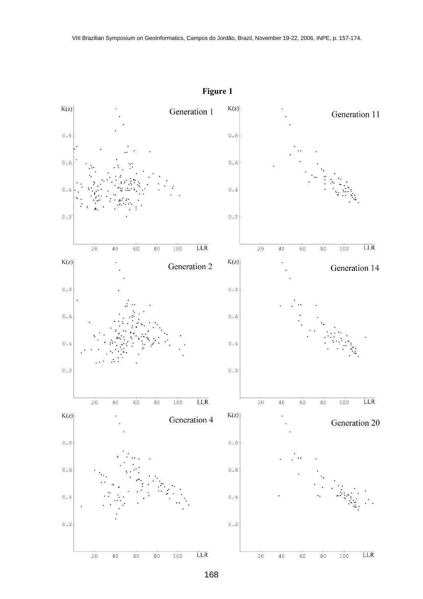

**Figure 1**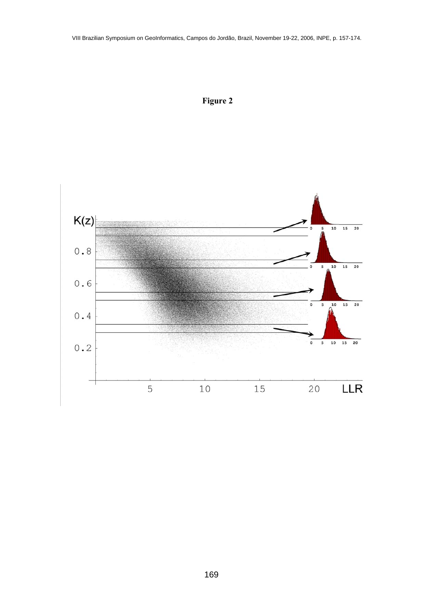

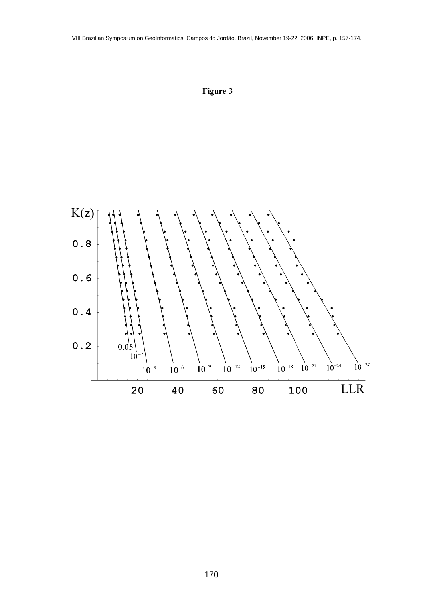

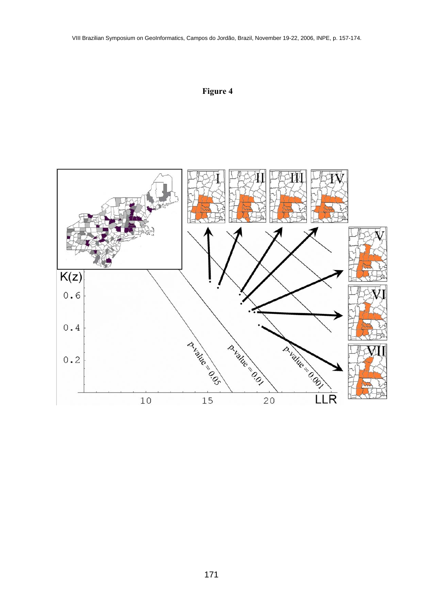VIII Brazilian Symposium on GeoInformatics, Campos do Jordão, Brazil, November 19-22, 2006, INPE, p. 157-174.



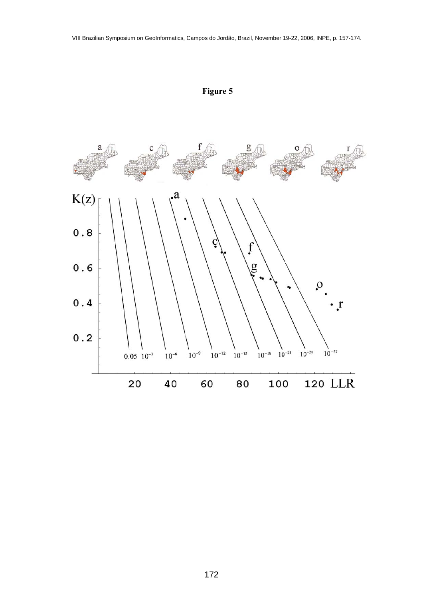

**Figure 5**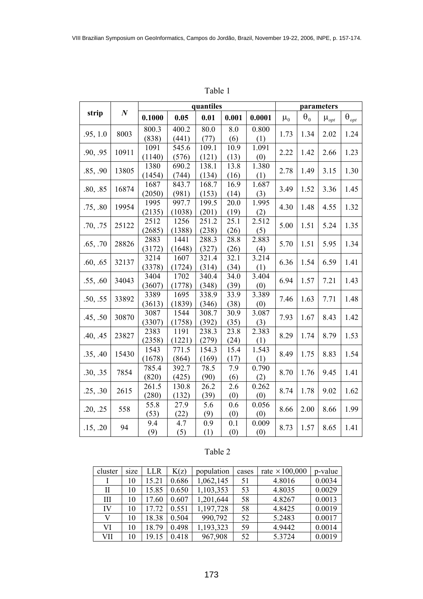| anı |  |
|-----|--|
|-----|--|

|                  |                  | quantiles |        |       |       |        |         | parameters   |             |                                    |      |      |
|------------------|------------------|-----------|--------|-------|-------|--------|---------|--------------|-------------|------------------------------------|------|------|
| strip            | $\boldsymbol{N}$ | 0.1000    | 0.05   | 0.01  | 0.001 | 0.0001 | $\mu_0$ | $\theta_0$   | $\mu_{opt}$ | $\boldsymbol{\theta}_{\text{opt}}$ |      |      |
| 8003<br>.95, 1.0 |                  | 800.3     | 400.2  | 80.0  | 8.0   | 0.800  | 1.73    | 1.34         | 2.02        | 1.24                               |      |      |
|                  |                  | (838)     | (441)  | (77)  | (6)   | (1)    |         |              |             |                                    |      |      |
| .90, .95         | 10911            | 1091      | 545.6  | 109.1 | 10.9  | 1.091  |         | 1.42         |             | 1.23                               |      |      |
|                  |                  | (1140)    | (576)  | (121) | (13)  | (0)    | 2.22    |              | 2.66        |                                    |      |      |
| .85, .90         | 13805            | 1380      | 690.2  | 138.1 | 13.8  | 1.380  | 2.78    | 1.49         | 3.15        | 1.30                               |      |      |
|                  |                  | (1454)    | (744)  | (134) | (16)  | (1)    |         |              |             |                                    |      |      |
| .80, .85         | 16874            | 1687      | 843.7  | 168.7 | 16.9  | 1.687  |         | 3.49<br>1.52 | 3.36        | 1.45                               |      |      |
|                  |                  | (2050)    | (981)  | (153) | (14)  | (3)    |         |              |             |                                    |      |      |
| .75, .80         | 19954            | 1995      | 997.7  | 199.5 | 20.0  | 1.995  | 4.30    | 1.48         | 4.55        | 1.32                               |      |      |
|                  |                  | (2135)    | (1038) | (201) | (19)  | (2)    |         |              |             |                                    |      |      |
| .70, .75         | 25122            | 2512      | 1256   | 251.2 | 25.1  | 2.512  | 5.00    | 1.51         | 5.24        | 1.35                               |      |      |
|                  |                  | (2685)    | (1388) | (238) | (26)  | (5)    |         |              |             |                                    |      |      |
| .65, .70         | 28826            | 2883      | 1441   | 288.3 | 28.8  | 2.883  | 5.70    | 1.51         | 5.95        | 1.34                               |      |      |
|                  |                  | (3172)    | (1648) | (327) | (26)  | (4)    |         |              |             |                                    |      |      |
| .60, .65         | 32137            | 3214      | 1607   | 321.4 | 32.1  | 3.214  | 6.36    | 1.54         | 6.59        | 1.41                               |      |      |
|                  |                  | (3378)    | (1724) | (314) | (34)  | (1)    |         |              |             |                                    |      |      |
| .55, .60         | 34043            | 3404      | 1702   | 340.4 | 34.0  | 3.404  | 6.94    | 1.57         | 7.21        | 1.43                               |      |      |
|                  |                  | (3607)    | (1778) | (348) | (39)  | (0)    |         |              |             |                                    |      |      |
| .50, .55         | 33892            | 3389      | 1695   | 338.9 | 33.9  | 3.389  |         | 7.46<br>1.63 |             | 7.71                               | 1.48 |      |
|                  |                  | (3613)    | (1839) | (346) | (38)  | (0)    |         |              |             |                                    |      |      |
| .45, .50         | 30870            | 3087      | 1544   | 308.7 | 30.9  | 3.087  |         |              | 7.93        | 1.67                               | 8.43 | 1.42 |
|                  |                  | (3307)    | (1758) | (392) | (35)  | (3)    |         |              |             |                                    |      |      |
| .40, .45         | 23827            | 2383      | 1191   | 238.3 | 23.8  | 2.383  |         |              | 8.29        | 1.74                               | 8.79 | 1.53 |
|                  |                  | (2358)    | (1221) | (279) | (24)  | (1)    |         |              |             |                                    |      |      |
| .35, .40         | 15430            | 1543      | 771.5  | 154.3 | 15.4  | 1.543  |         |              | 8.49        | 1.75                               | 8.83 | 1.54 |
|                  |                  | (1678)    | (864)  | (169) | (17)  | (1)    |         |              |             |                                    |      |      |
| .30, .35         | 7854             | 785.4     | 392.7  | 78.5  | 7.9   | 0.790  |         | 8.70         | 1.76        | 9.45                               | 1.41 |      |
|                  |                  | (820)     | (425)  | (90)  | (6)   | (2)    |         |              |             |                                    |      |      |
| .25, .30         | 2615             | 261.5     | 130.8  | 26.2  | 2.6   | 0.262  | 8.74    | 1.78         | 9.02        | 1.62                               |      |      |
|                  |                  | (280)     | (132)  | (39)  | (0)   | (0)    |         |              |             |                                    |      |      |
| .20, .25         | 558              | 55.8      | 27.9   | 5.6   | 0.6   | 0.056  | 8.66    | 2.00         | 8.66        | 1.99                               |      |      |
|                  |                  | (53)      | (22)   | (9)   | (0)   | (0)    |         |              |             |                                    |      |      |
| .15, .20         | 94               | 9.4       | 4.7    | 0.9   | 0.1   | 0.009  | 8.73    | 1.57         | 8.65        | 1.41                               |      |      |
|                  |                  | (9)       | (5)    | (1)   | (0)   | (0)    |         |              |             |                                    |      |      |

# Table 2

| cluster | size | <b>LLR</b> | K(z)  | population | cases | rate $\times$ 100,000 | p-value |
|---------|------|------------|-------|------------|-------|-----------------------|---------|
|         | 10   | 15.21      | 0.686 | 1,062,145  | 51    | 4.8016                | 0.0034  |
| Н       | 10   | 15.85      | 0.650 | 1,103,353  | 53    | 4.8035                | 0.0029  |
| Ш       | 10   | 17.60      | 0.607 | 1,201,644  | 58    | 4.8267                | 0.0013  |
| IV      | 10   | 17.72      | 0.551 | 1,197,728  | 58    | 4.8425                | 0.0019  |
| V       | 10   | 18.38      | 0.504 | 990,792    | 52    | 5.2483                | 0.0017  |
| VI      | 10   | 18.79      | 0.498 | 1,193,323  | 59    | 4.9442                | 0.0014  |
| VII     | 10   | 19.15      | 0.418 | 967,908    | 52    | 5.3724                | 0.0019  |